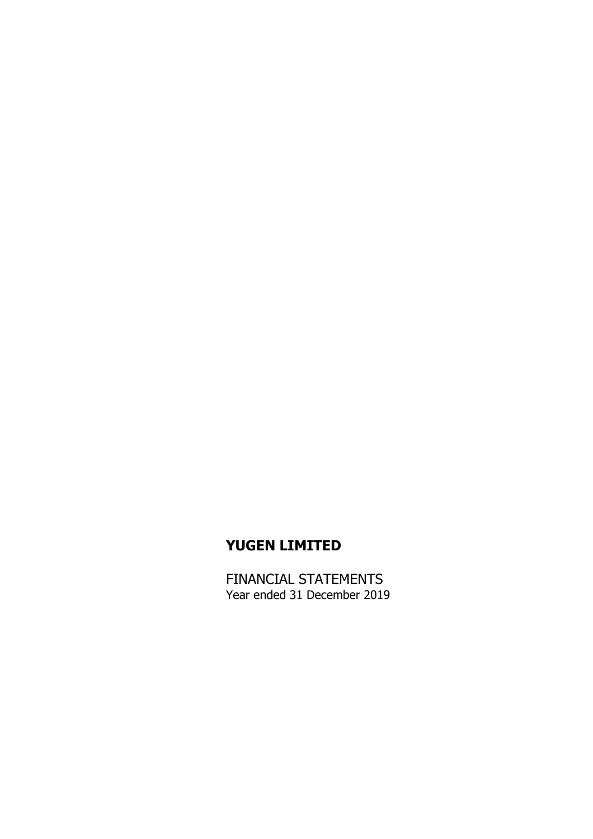FINANCIAL STATEMENTS Year ended 31 December 2019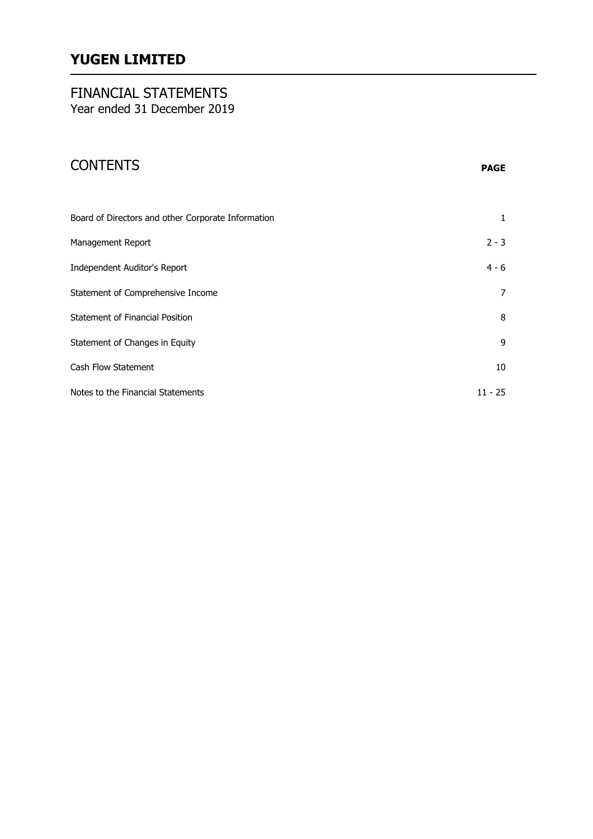# FINANCIAL STATEMENTS Year ended 31 December 2019

# CONTENTS **PAGE**

| Board of Directors and other Corporate Information | 1         |
|----------------------------------------------------|-----------|
| Management Report                                  | $2 - 3$   |
| Independent Auditor's Report                       | $4 - 6$   |
| Statement of Comprehensive Income                  | 7         |
| Statement of Financial Position                    | 8         |
| Statement of Changes in Equity                     | 9         |
| Cash Flow Statement                                | 10        |
| Notes to the Financial Statements                  | $11 - 25$ |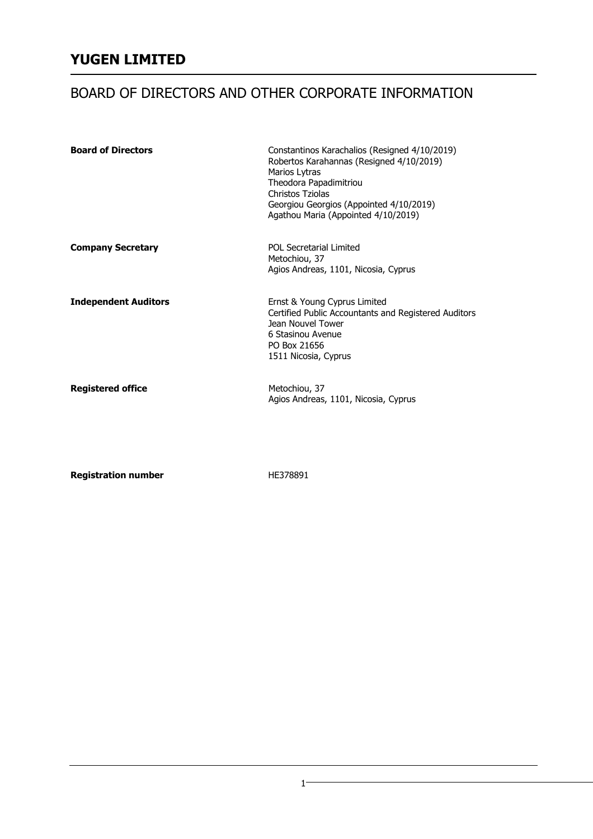# BOARD OF DIRECTORS AND OTHER CORPORATE INFORMATION

| <b>Board of Directors</b>   | Constantinos Karachalios (Resigned 4/10/2019)<br>Robertos Karahannas (Resigned 4/10/2019)<br>Marios Lytras<br>Theodora Papadimitriou<br>Christos Tziolas<br>Georgiou Georgios (Appointed 4/10/2019)<br>Agathou Maria (Appointed 4/10/2019) |
|-----------------------------|--------------------------------------------------------------------------------------------------------------------------------------------------------------------------------------------------------------------------------------------|
| <b>Company Secretary</b>    | <b>POL Secretarial Limited</b><br>Metochiou, 37<br>Agios Andreas, 1101, Nicosia, Cyprus                                                                                                                                                    |
| <b>Independent Auditors</b> | Ernst & Young Cyprus Limited<br>Certified Public Accountants and Registered Auditors<br>Jean Nouvel Tower<br>6 Stasinou Avenue<br>PO Box 21656<br>1511 Nicosia, Cyprus                                                                     |
| <b>Registered office</b>    | Metochiou, 37<br>Agios Andreas, 1101, Nicosia, Cyprus                                                                                                                                                                                      |

**Registration number** HE378891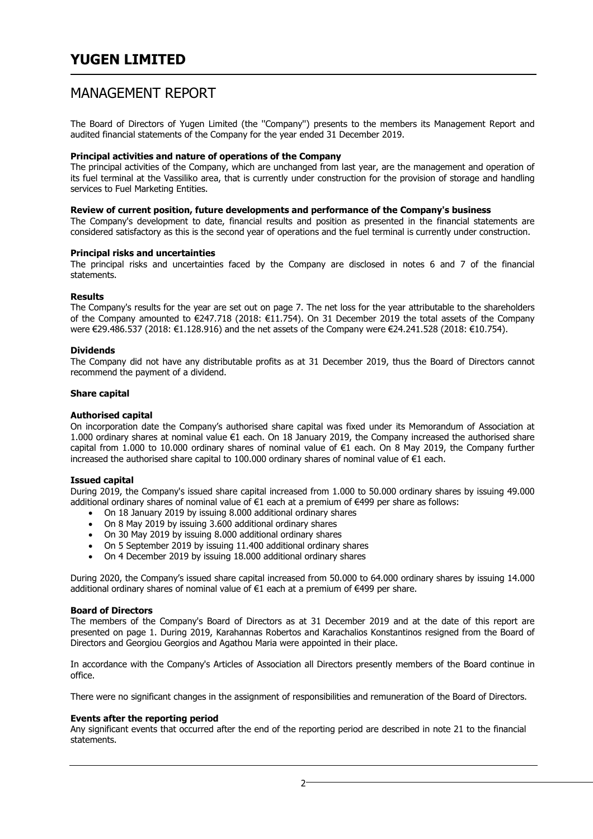# MANAGEMENT REPORT

The Board of Directors of Yugen Limited (the ''Company'') presents to the members its Management Report and audited financial statements of the Company for the year ended 31 December 2019.

#### **Principal activities and nature of operations of the Company**

The principal activities of the Company, which are unchanged from last year, are the management and operation of its fuel terminal at the Vassiliko area, that is currently under construction for the provision of storage and handling services to Fuel Marketing Entities.

#### **Review of current position, future developments and performance of the Company's business**

The Company's development to date, financial results and position as presented in the financial statements are considered satisfactory as this is the second year of operations and the fuel terminal is currently under construction.

#### **Principal risks and uncertainties**

The principal risks and uncertainties faced by the Company are disclosed in notes 6 and 7 of the financial statements.

#### **Results**

The Company's results for the year are set out on page 7. The net loss for the year attributable to the shareholders of the Company amounted to €247.718 (2018: €11.754). On 31 December 2019 the total assets of the Company were €29.486.537 (2018: €1.128.916) and the net assets of the Company were €24.241.528 (2018: €10.754).

#### **Dividends**

The Company did not have any distributable profits as at 31 December 2019, thus the Board of Directors cannot recommend the payment of a dividend.

#### **Share capital**

### **Authorised capital**

On incorporation date the Company's authorised share capital was fixed under its Memorandum of Association at 1.000 ordinary shares at nominal value €1 each. On 18 January 2019, the Company increased the authorised share capital from 1.000 to 10.000 ordinary shares of nominal value of €1 each. On 8 May 2019, the Company further increased the authorised share capital to 100.000 ordinary shares of nominal value of €1 each.

#### **Issued capital**

During 2019, the Company's issued share capital increased from 1.000 to 50.000 ordinary shares by issuing 49.000 additional ordinary shares of nominal value of €1 each at a premium of €499 per share as follows:

- On 18 January 2019 by issuing 8.000 additional ordinary shares
- On 8 May 2019 by issuing 3.600 additional ordinary shares
- On 30 May 2019 by issuing 8.000 additional ordinary shares
- On 5 September 2019 by issuing 11.400 additional ordinary shares
- On 4 December 2019 by issuing 18.000 additional ordinary shares

During 2020, the Company's issued share capital increased from 50.000 to 64.000 ordinary shares by issuing 14.000 additional ordinary shares of nominal value of €1 each at a premium of €499 per share.

#### **Board of Directors**

The members of the Company's Board of Directors as at 31 December 2019 and at the date of this report are presented on page 1. During 2019, Karahannas Robertos and Karachalios Konstantinos resigned from the Board of Directors and Georgiou Georgios and Agathou Maria were appointed in their place.

In accordance with the Company's Articles of Association all Directors presently members of the Board continue in office.

There were no significant changes in the assignment of responsibilities and remuneration of the Board of Directors.

#### **Events after the reporting period**

Any significant events that occurred after the end of the reporting period are described in note 21 to the financial statements.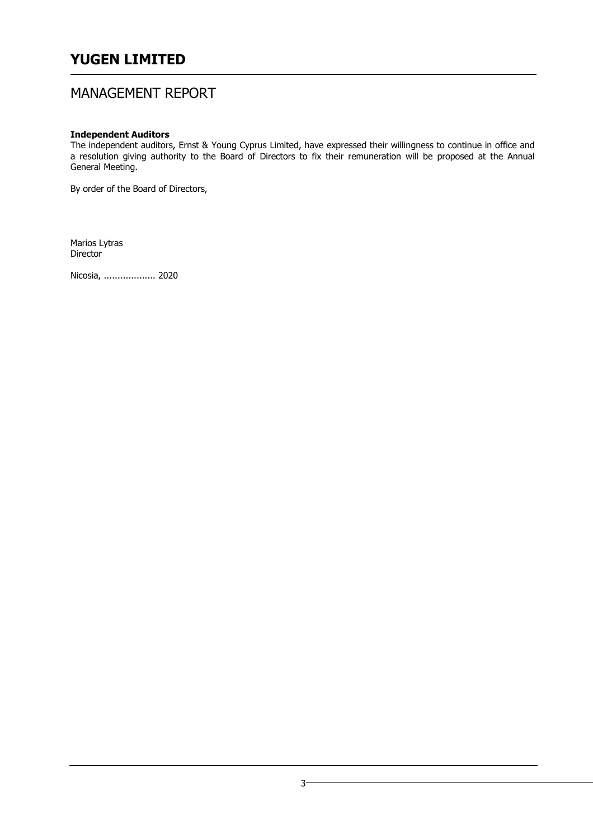# MANAGEMENT REPORT

## **Independent Auditors**

The independent auditors, Ernst & Young Cyprus Limited, have expressed their willingness to continue in office and a resolution giving authority to the Board of Directors to fix their remuneration will be proposed at the Annual General Meeting.

By order of the Board of Directors,

Marios Lytras Director

Nicosia, ................... 2020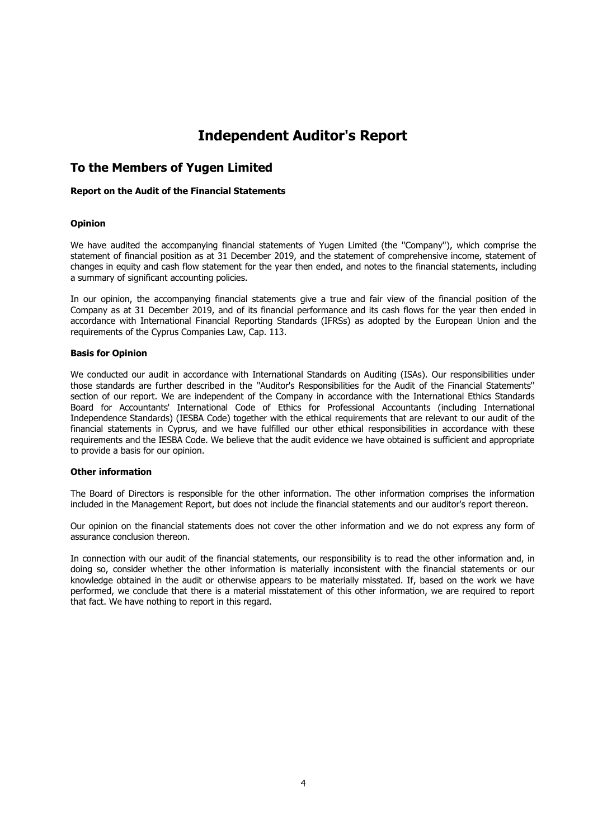# **Independent Auditor's Report**

## **To the Members of Yugen Limited**

## **Report on the Audit of the Financial Statements**

#### **Opinion**

We have audited the accompanying financial statements of Yugen Limited (the ''Company''), which comprise the statement of financial position as at 31 December 2019, and the statement of comprehensive income, statement of changes in equity and cash flow statement for the year then ended, and notes to the financial statements, including a summary of significant accounting policies.

In our opinion, the accompanying financial statements give a true and fair view of the financial position of the Company as at 31 December 2019, and of its financial performance and its cash flows for the year then ended in accordance with International Financial Reporting Standards (IFRSs) as adopted by the European Union and the requirements of the Cyprus Companies Law, Cap. 113.

#### **Basis for Opinion**

We conducted our audit in accordance with International Standards on Auditing (ISAs). Our responsibilities under those standards are further described in the ''Auditor's Responsibilities for the Audit of the Financial Statements'' section of our report. We are independent of the Company in accordance with the International Ethics Standards Board for Accountants' International Code of Ethics for Professional Accountants (including International Independence Standards) (IESBA Code) together with the ethical requirements that are relevant to our audit of the financial statements in Cyprus, and we have fulfilled our other ethical responsibilities in accordance with these requirements and the IESBA Code. We believe that the audit evidence we have obtained is sufficient and appropriate to provide a basis for our opinion.

#### **Other information**

The Board of Directors is responsible for the other information. The other information comprises the information included in the Management Report, but does not include the financial statements and our auditor's report thereon.

Our opinion on the financial statements does not cover the other information and we do not express any form of assurance conclusion thereon.

In connection with our audit of the financial statements, our responsibility is to read the other information and, in doing so, consider whether the other information is materially inconsistent with the financial statements or our knowledge obtained in the audit or otherwise appears to be materially misstated. If, based on the work we have performed, we conclude that there is a material misstatement of this other information, we are required to report that fact. We have nothing to report in this regard.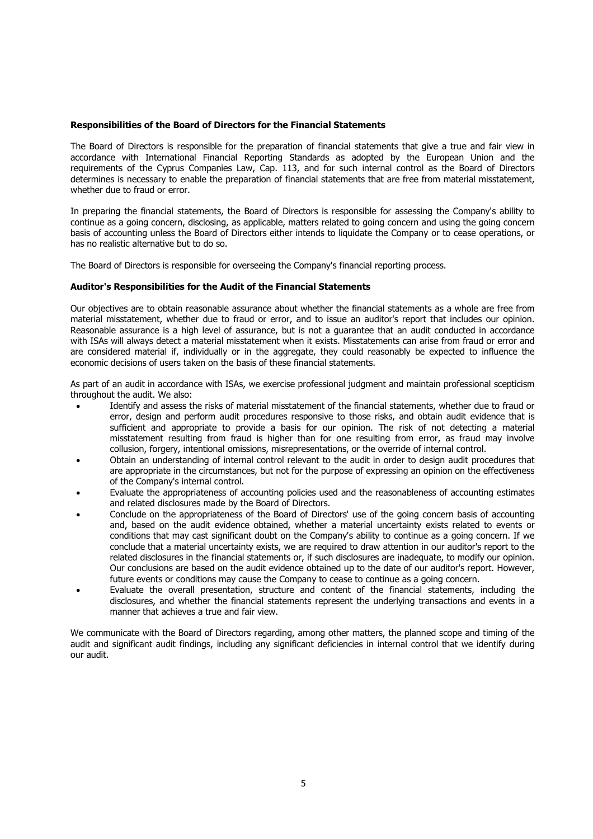#### **Responsibilities of the Board of Directors for the Financial Statements**

The Board of Directors is responsible for the preparation of financial statements that give a true and fair view in accordance with International Financial Reporting Standards as adopted by the European Union and the requirements of the Cyprus Companies Law, Cap. 113, and for such internal control as the Board of Directors determines is necessary to enable the preparation of financial statements that are free from material misstatement, whether due to fraud or error.

In preparing the financial statements, the Board of Directors is responsible for assessing the Company's ability to continue as a going concern, disclosing, as applicable, matters related to going concern and using the going concern basis of accounting unless the Board of Directors either intends to liquidate the Company or to cease operations, or has no realistic alternative but to do so.

The Board of Directors is responsible for overseeing the Company's financial reporting process.

#### **Auditor's Responsibilities for the Audit of the Financial Statements**

Our objectives are to obtain reasonable assurance about whether the financial statements as a whole are free from material misstatement, whether due to fraud or error, and to issue an auditor's report that includes our opinion. Reasonable assurance is a high level of assurance, but is not a guarantee that an audit conducted in accordance with ISAs will always detect a material misstatement when it exists. Misstatements can arise from fraud or error and are considered material if, individually or in the aggregate, they could reasonably be expected to influence the economic decisions of users taken on the basis of these financial statements.

As part of an audit in accordance with ISAs, we exercise professional judgment and maintain professional scepticism throughout the audit. We also:

- Identify and assess the risks of material misstatement of the financial statements, whether due to fraud or error, design and perform audit procedures responsive to those risks, and obtain audit evidence that is sufficient and appropriate to provide a basis for our opinion. The risk of not detecting a material misstatement resulting from fraud is higher than for one resulting from error, as fraud may involve collusion, forgery, intentional omissions, misrepresentations, or the override of internal control.
- Obtain an understanding of internal control relevant to the audit in order to design audit procedures that are appropriate in the circumstances, but not for the purpose of expressing an opinion on the effectiveness of the Company's internal control.
- Evaluate the appropriateness of accounting policies used and the reasonableness of accounting estimates and related disclosures made by the Board of Directors.
- Conclude on the appropriateness of the Board of Directors' use of the going concern basis of accounting and, based on the audit evidence obtained, whether a material uncertainty exists related to events or conditions that may cast significant doubt on the Company's ability to continue as a going concern. If we conclude that a material uncertainty exists, we are required to draw attention in our auditor's report to the related disclosures in the financial statements or, if such disclosures are inadequate, to modify our opinion. Our conclusions are based on the audit evidence obtained up to the date of our auditor's report. However, future events or conditions may cause the Company to cease to continue as a going concern.
- Evaluate the overall presentation, structure and content of the financial statements, including the disclosures, and whether the financial statements represent the underlying transactions and events in a manner that achieves a true and fair view.

We communicate with the Board of Directors regarding, among other matters, the planned scope and timing of the audit and significant audit findings, including any significant deficiencies in internal control that we identify during our audit.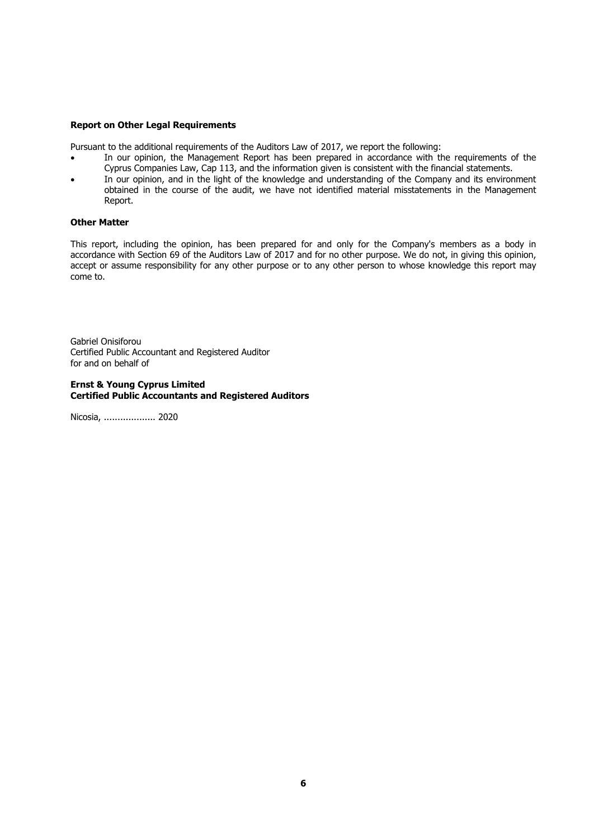### **Report on Other Legal Requirements**

Pursuant to the additional requirements of the Auditors Law of 2017, we report the following:

- In our opinion, the Management Report has been prepared in accordance with the requirements of the Cyprus Companies Law, Cap 113, and the information given is consistent with the financial statements.
- In our opinion, and in the light of the knowledge and understanding of the Company and its environment obtained in the course of the audit, we have not identified material misstatements in the Management Report.

#### **Other Matter**

This report, including the opinion, has been prepared for and only for the Company's members as a body in accordance with Section 69 of the Auditors Law of 2017 and for no other purpose. We do not, in giving this opinion, accept or assume responsibility for any other purpose or to any other person to whose knowledge this report may come to.

Gabriel Onisiforou Certified Public Accountant and Registered Auditor for and on behalf of

#### **Ernst & Young Cyprus Limited Certified Public Accountants and Registered Auditors**

Nicosia, ................... 2020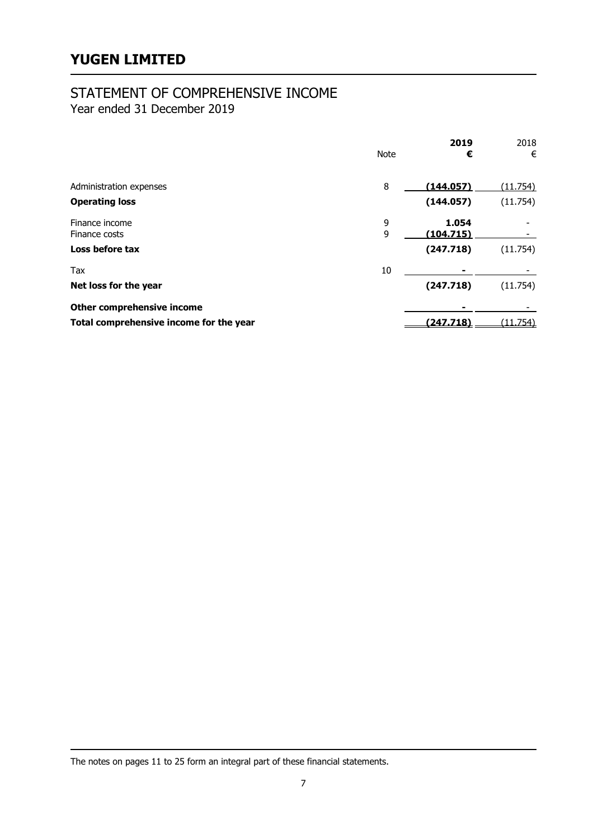# STATEMENT OF COMPREHENSIVE INCOME Year ended 31 December 2019

|                                         | <b>Note</b> | 2019<br>€          | 2018<br>€ |
|-----------------------------------------|-------------|--------------------|-----------|
| Administration expenses                 | 8           | <u>(144.057)</u>   | (11.754)  |
| <b>Operating loss</b>                   |             | (144.057)          | (11.754)  |
| Finance income<br>Finance costs         | 9<br>9      | 1.054<br>(104.715) |           |
| Loss before tax                         |             | (247.718)          | (11.754)  |
| Tax                                     | 10          |                    |           |
| Net loss for the year                   |             | (247.718)          | (11.754)  |
| Other comprehensive income              |             |                    |           |
| Total comprehensive income for the year |             | (247.718)          | (11.754)  |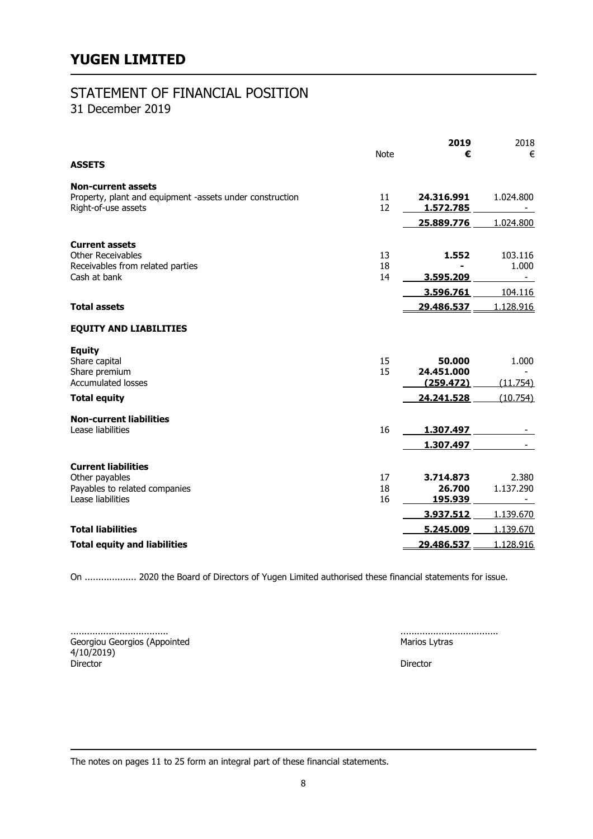## STATEMENT OF FINANCIAL POSITION 31 December 2019

|                                                                                 | <b>Note</b> | 2019<br>€               | 2018<br>€ |
|---------------------------------------------------------------------------------|-------------|-------------------------|-----------|
| <b>ASSETS</b>                                                                   |             |                         |           |
| <b>Non-current assets</b>                                                       |             |                         |           |
| Property, plant and equipment -assets under construction<br>Right-of-use assets | 11<br>12    | 24.316.991<br>1.572.785 | 1.024.800 |
|                                                                                 |             | 25.889.776              | 1.024.800 |
| <b>Current assets</b>                                                           |             |                         |           |
| <b>Other Receivables</b>                                                        | 13          | 1.552                   | 103.116   |
| Receivables from related parties                                                | 18          |                         | 1.000     |
| Cash at bank                                                                    | 14          | 3.595.209               |           |
|                                                                                 |             | 3.596.761               | 104.116   |
| <b>Total assets</b>                                                             |             | 29.486.537              | 1.128.916 |
| <b>EQUITY AND LIABILITIES</b>                                                   |             |                         |           |
| <b>Equity</b>                                                                   |             |                         |           |
| Share capital                                                                   | 15          | 50.000                  | 1.000     |
| Share premium                                                                   | 15          | 24.451.000              |           |
| <b>Accumulated losses</b>                                                       |             | (259.472)               | (11.754)  |
| <b>Total equity</b>                                                             |             | <u>24.241.528</u>       | (10.754)  |
| <b>Non-current liabilities</b>                                                  |             |                         |           |
| Lease liabilities                                                               | 16          | 1.307.497               |           |
|                                                                                 |             | 1.307.497               |           |
| <b>Current liabilities</b>                                                      |             |                         |           |
| Other payables                                                                  | 17          | 3.714.873               | 2.380     |
| Payables to related companies                                                   | 18          | 26.700                  | 1.137.290 |
| Lease liabilities                                                               | 16          | 195.939                 |           |
|                                                                                 |             | 3.937.512               | 1.139.670 |
| <b>Total liabilities</b>                                                        |             | 5.245.009               | 1.139.670 |
| <b>Total equity and liabilities</b>                                             |             | 29.486.537              | 1.128.916 |

On ................... 2020 the Board of Directors of Yugen Limited authorised these financial statements for issue.

Georgiou Georgios (Appointed 4/10/2019)<br>Director Director Director

.................................... .................................... Marios Lytras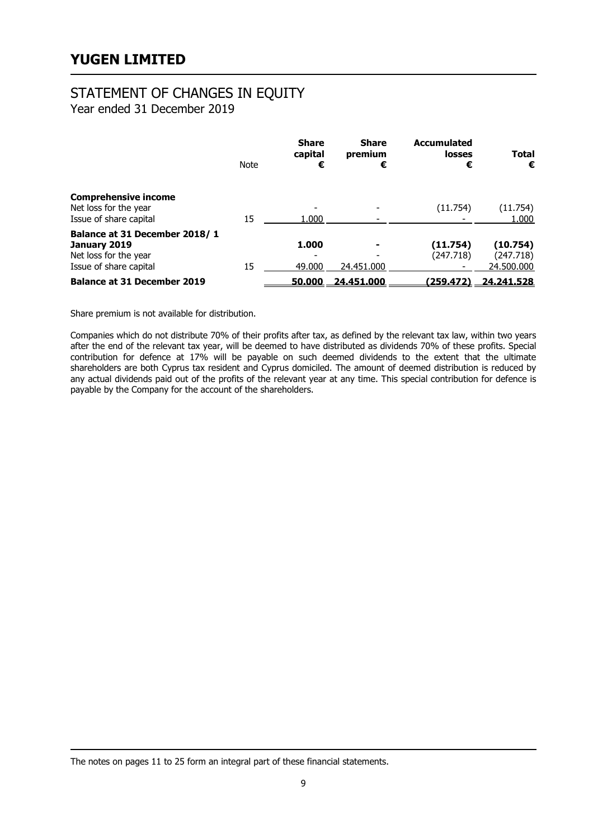## STATEMENT OF CHANGES IN EQUITY Year ended 31 December 2019

|                                                      |             | <b>Share</b><br>capital | <b>Share</b><br>premium | <b>Accumulated</b><br>losses | <b>Total</b> |
|------------------------------------------------------|-------------|-------------------------|-------------------------|------------------------------|--------------|
|                                                      | <b>Note</b> | €                       | €                       | €                            | €            |
| <b>Comprehensive income</b><br>Net loss for the year |             |                         |                         | (11.754)                     | (11.754)     |
| Issue of share capital                               | 15          | 1.000                   |                         |                              | 1.000        |
| Balance at 31 December 2018/1                        |             |                         |                         |                              |              |
| January 2019                                         |             | 1.000                   |                         | (11.754)                     | (10.754)     |
| Net loss for the year                                |             |                         |                         | (247.718)                    | (247.718)    |
| Issue of share capital                               | 15          | 49.000                  | 24.451.000              |                              | 24.500.000   |
| <b>Balance at 31 December 2019</b>                   |             | 50,000                  | 24.451.000              | (259.472)                    | 24.241.528   |

Share premium is not available for distribution.

Companies which do not distribute 70% of their profits after tax, as defined by the relevant tax law, within two years after the end of the relevant tax year, will be deemed to have distributed as dividends 70% of these profits. Special contribution for defence at 17% will be payable on such deemed dividends to the extent that the ultimate shareholders are both Cyprus tax resident and Cyprus domiciled. The amount of deemed distribution is reduced by any actual dividends paid out of the profits of the relevant year at any time. This special contribution for defence is payable by the Company for the account of the shareholders.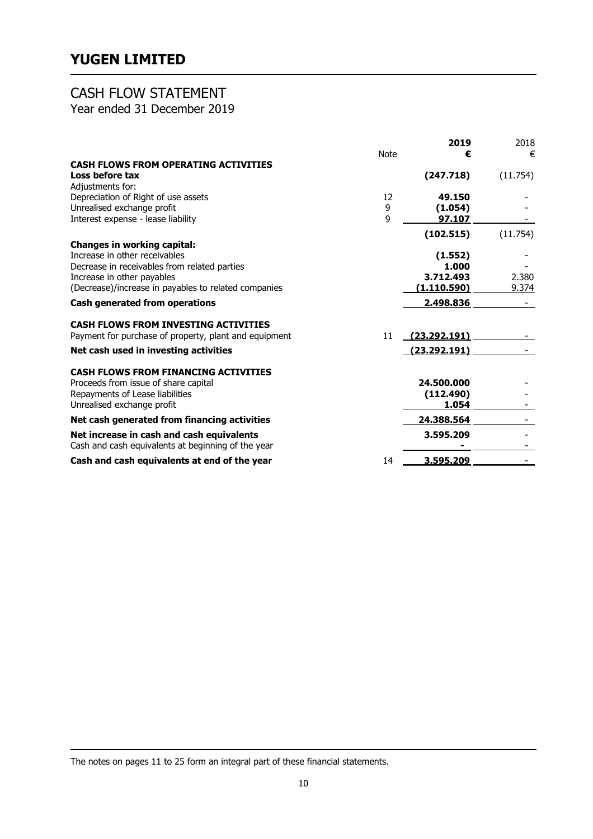# CASH FLOW STATEMENT

Year ended 31 December 2019

| <b>Note</b><br>€                                                            | €        |
|-----------------------------------------------------------------------------|----------|
|                                                                             |          |
| <b>CASH FLOWS FROM OPERATING ACTIVITIES</b>                                 |          |
| Loss before tax<br>(247.718)                                                | (11.754) |
| Adjustments for:                                                            |          |
| Depreciation of Right of use assets<br>12<br>49.150                         |          |
| Unrealised exchange profit<br>9<br>(1.054)                                  |          |
| 9<br>Interest expense - lease liability<br>97.107                           |          |
| (102.515)                                                                   | (11.754) |
| <b>Changes in working capital:</b>                                          |          |
| Increase in other receivables<br>(1.552)                                    |          |
| Decrease in receivables from related parties<br>1.000                       |          |
| 3.712.493<br>Increase in other payables                                     | 2.380    |
| (Decrease)/increase in payables to related companies<br>(1.110.590)         | 9.374    |
| Cash generated from operations<br>2.498.836                                 |          |
| <b>CASH FLOWS FROM INVESTING ACTIVITIES</b>                                 |          |
| (23.292.191)<br>Payment for purchase of property, plant and equipment<br>11 |          |
| (23.292.191)<br>Net cash used in investing activities                       |          |
| <b>CASH FLOWS FROM FINANCING ACTIVITIES</b>                                 |          |
| 24.500.000<br>Proceeds from issue of share capital                          |          |
| (112.490)<br>Repayments of Lease liabilities                                |          |
| Unrealised exchange profit<br>1.054                                         |          |
| 24.388.564<br>Net cash generated from financing activities                  |          |
| 3.595.209<br>Net increase in cash and cash equivalents                      |          |
| Cash and cash equivalents at beginning of the year                          |          |
| 3.595.209<br>Cash and cash equivalents at end of the year<br>14             |          |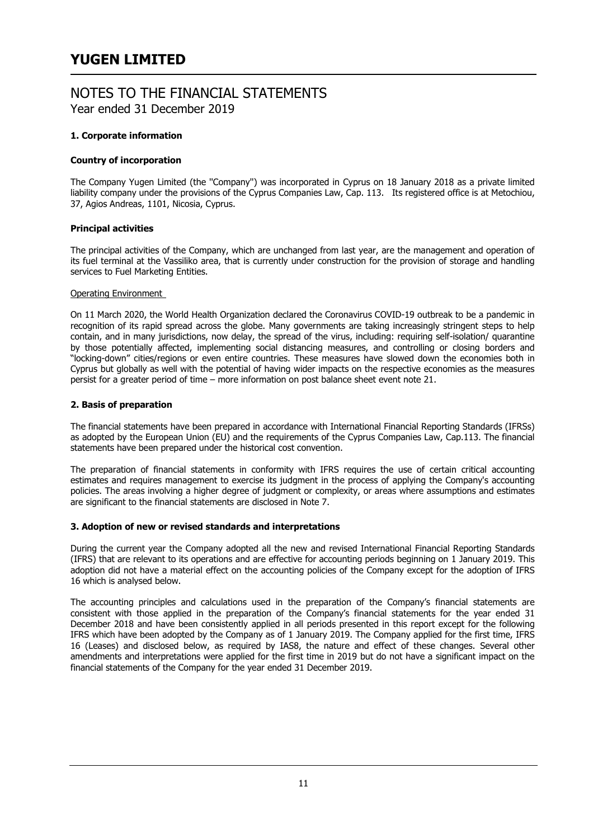## **1. Corporate information**

## **Country of incorporation**

The Company Yugen Limited (the ''Company'') was incorporated in Cyprus on 18 January 2018 as a private limited liability company under the provisions of the Cyprus Companies Law, Cap. 113. Its registered office is at Metochiou, 37, Agios Andreas, 1101, Nicosia, Cyprus.

## **Principal activities**

The principal activities of the Company, which are unchanged from last year, are the management and operation of its fuel terminal at the Vassiliko area, that is currently under construction for the provision of storage and handling services to Fuel Marketing Entities.

## Operating Environment

On 11 March 2020, the World Health Organization declared the Coronavirus COVID-19 outbreak to be a pandemic in recognition of its rapid spread across the globe. Many governments are taking increasingly stringent steps to help contain, and in many jurisdictions, now delay, the spread of the virus, including: requiring self-isolation/ quarantine by those potentially affected, implementing social distancing measures, and controlling or closing borders and "locking-down" cities/regions or even entire countries. These measures have slowed down the economies both in Cyprus but globally as well with the potential of having wider impacts on the respective economies as the measures persist for a greater period of time – more information on post balance sheet event note 21.

## **2. Basis of preparation**

The financial statements have been prepared in accordance with International Financial Reporting Standards (IFRSs) as adopted by the European Union (EU) and the requirements of the Cyprus Companies Law, Cap.113. The financial statements have been prepared under the historical cost convention.

The preparation of financial statements in conformity with IFRS requires the use of certain critical accounting estimates and requires management to exercise its judgment in the process of applying the Company's accounting policies. The areas involving a higher degree of judgment or complexity, or areas where assumptions and estimates are significant to the financial statements are disclosed in Note 7.

## **3. Adoption of new or revised standards and interpretations**

During the current year the Company adopted all the new and revised International Financial Reporting Standards (IFRS) that are relevant to its operations and are effective for accounting periods beginning on 1 January 2019. This adoption did not have a material effect on the accounting policies of the Company except for the adoption of IFRS 16 which is analysed below.

The accounting principles and calculations used in the preparation of the Company's financial statements are consistent with those applied in the preparation of the Company's financial statements for the year ended 31 December 2018 and have been consistently applied in all periods presented in this report except for the following IFRS which have been adopted by the Company as of 1 January 2019. The Company applied for the first time, IFRS 16 (Leases) and disclosed below, as required by IAS8, the nature and effect of these changes. Several other amendments and interpretations were applied for the first time in 2019 but do not have a significant impact on the financial statements of the Company for the year ended 31 December 2019.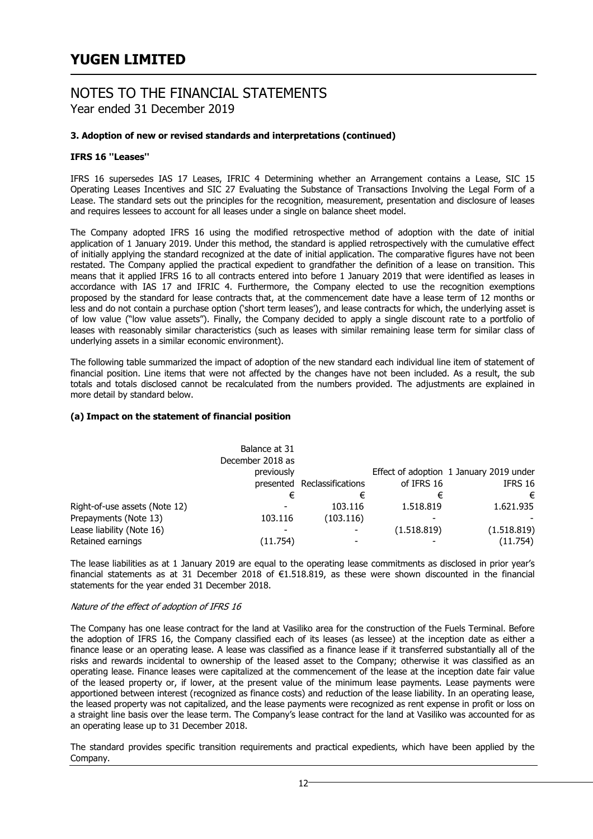## **3. Adoption of new or revised standards and interpretations (continued)**

## **IFRS 16 ''Leases''**

IFRS 16 supersedes IAS 17 Leases, IFRIC 4 Determining whether an Arrangement contains a Lease, SIC 15 Operating Leases Incentives and SIC 27 Evaluating the Substance of Transactions Involving the Legal Form of a Lease. The standard sets out the principles for the recognition, measurement, presentation and disclosure of leases and requires lessees to account for all leases under a single on balance sheet model.

The Company adopted IFRS 16 using the modified retrospective method of adoption with the date of initial application of 1 January 2019. Under this method, the standard is applied retrospectively with the cumulative effect of initially applying the standard recognized at the date of initial application. The comparative figures have not been restated. The Company applied the practical expedient to grandfather the definition of a lease on transition. This means that it applied IFRS 16 to all contracts entered into before 1 January 2019 that were identified as leases in accordance with IAS 17 and IFRIC 4. Furthermore, the Company elected to use the recognition exemptions proposed by the standard for lease contracts that, at the commencement date have a lease term of 12 months or less and do not contain a purchase option ('short term leases'), and lease contracts for which, the underlying asset is of low value ("low value assets"). Finally, the Company decided to apply a single discount rate to a portfolio of leases with reasonably similar characteristics (such as leases with similar remaining lease term for similar class of underlying assets in a similar economic environment).

The following table summarized the impact of adoption of the new standard each individual line item of statement of financial position. Line items that were not affected by the changes have not been included. As a result, the sub totals and totals disclosed cannot be recalculated from the numbers provided. The adjustments are explained in more detail by standard below.

## **(a) Impact on the statement of financial position**

|                               | Balance at 31<br>December 2018 as |                             |             |                                         |
|-------------------------------|-----------------------------------|-----------------------------|-------------|-----------------------------------------|
|                               | previously                        |                             |             | Effect of adoption 1 January 2019 under |
|                               |                                   | presented Reclassifications | of IFRS 16  | IFRS 16                                 |
|                               | €                                 | €                           |             | €                                       |
| Right-of-use assets (Note 12) |                                   | 103.116                     | 1.518.819   | 1.621.935                               |
| Prepayments (Note 13)         | 103.116                           | (103.116)                   |             |                                         |
| Lease liability (Note 16)     | $\overline{\phantom{0}}$          |                             | (1.518.819) | (1.518.819)                             |
| Retained earnings             | (11.754)                          |                             |             | (11.754)                                |

The lease liabilities as at 1 January 2019 are equal to the operating lease commitments as disclosed in prior year's financial statements as at 31 December 2018 of €1.518.819, as these were shown discounted in the financial statements for the year ended 31 December 2018.

## Nature of the effect of adoption of IFRS 16

The Company has one lease contract for the land at Vasiliko area for the construction of the Fuels Terminal. Before the adoption of IFRS 16, the Company classified each of its leases (as lessee) at the inception date as either a finance lease or an operating lease. A lease was classified as a finance lease if it transferred substantially all of the risks and rewards incidental to ownership of the leased asset to the Company; otherwise it was classified as an operating lease. Finance leases were capitalized at the commencement of the lease at the inception date fair value of the leased property or, if lower, at the present value of the minimum lease payments. Lease payments were apportioned between interest (recognized as finance costs) and reduction of the lease liability. In an operating lease, the leased property was not capitalized, and the lease payments were recognized as rent expense in profit or loss on a straight line basis over the lease term. The Company's lease contract for the land at Vasiliko was accounted for as an operating lease up to 31 December 2018.

The standard provides specific transition requirements and practical expedients, which have been applied by the Company.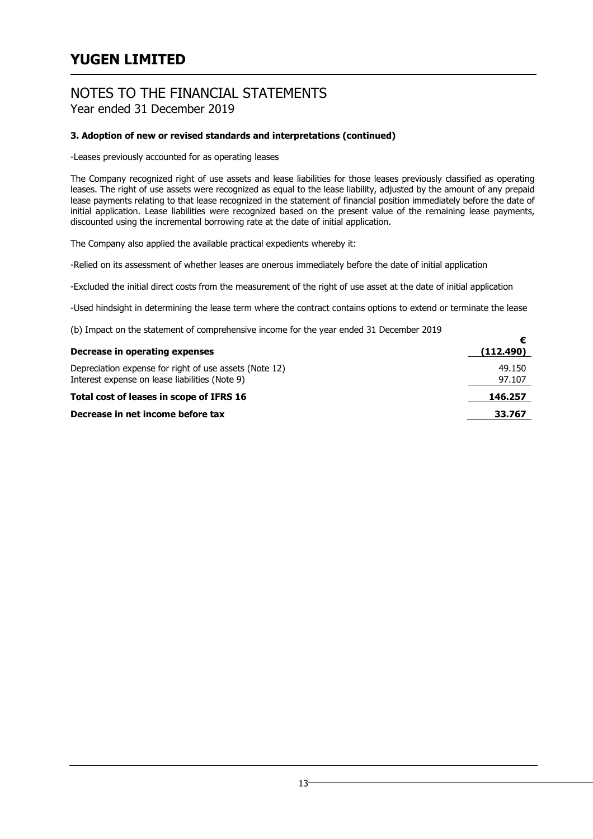## **3. Adoption of new or revised standards and interpretations (continued)**

-Leases previously accounted for as operating leases

The Company recognized right of use assets and lease liabilities for those leases previously classified as operating leases. The right of use assets were recognized as equal to the lease liability, adjusted by the amount of any prepaid lease payments relating to that lease recognized in the statement of financial position immediately before the date of initial application. Lease liabilities were recognized based on the present value of the remaining lease payments, discounted using the incremental borrowing rate at the date of initial application.

The Company also applied the available practical expedients whereby it:

-Relied on its assessment of whether leases are onerous immediately before the date of initial application

-Excluded the initial direct costs from the measurement of the right of use asset at the date of initial application

-Used hindsight in determining the lease term where the contract contains options to extend or terminate the lease

(b) Impact on the statement of comprehensive income for the year ended 31 December 2019

| Decrease in operating expenses                                                                           | (112.490)        |
|----------------------------------------------------------------------------------------------------------|------------------|
| Depreciation expense for right of use assets (Note 12)<br>Interest expense on lease liabilities (Note 9) | 49.150<br>97.107 |
| Total cost of leases in scope of IFRS 16                                                                 | 146.257          |
| Decrease in net income before tax                                                                        | 33.767           |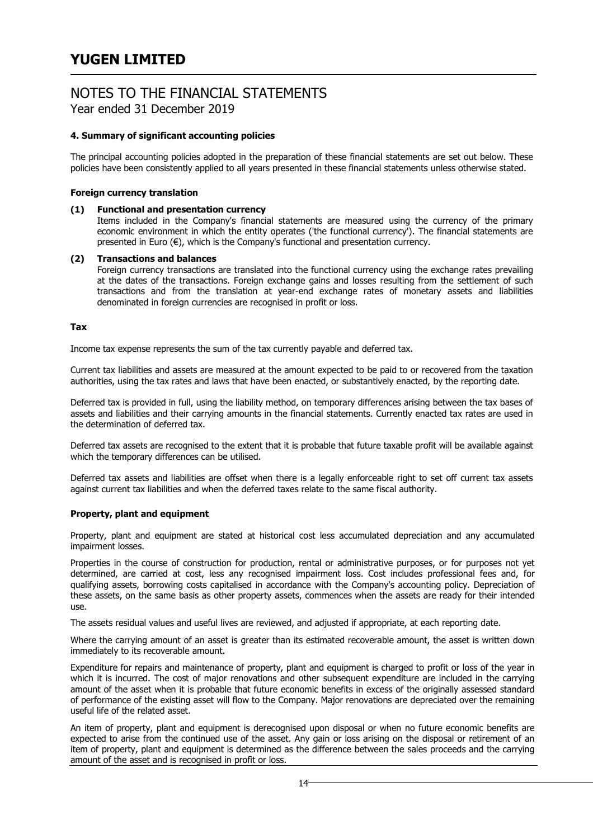# NOTES TO THE FINANCIAL STATEMENTS

Year ended 31 December 2019

## **4. Summary of significant accounting policies**

The principal accounting policies adopted in the preparation of these financial statements are set out below. These policies have been consistently applied to all years presented in these financial statements unless otherwise stated.

## **Foreign currency translation**

## **(1) Functional and presentation currency**

Items included in the Company's financial statements are measured using the currency of the primary economic environment in which the entity operates ('the functional currency'). The financial statements are presented in Euro (€), which is the Company's functional and presentation currency.

#### **(2) Transactions and balances**

Foreign currency transactions are translated into the functional currency using the exchange rates prevailing at the dates of the transactions. Foreign exchange gains and losses resulting from the settlement of such transactions and from the translation at year-end exchange rates of monetary assets and liabilities denominated in foreign currencies are recognised in profit or loss.

#### **Tax**

Income tax expense represents the sum of the tax currently payable and deferred tax.

Current tax liabilities and assets are measured at the amount expected to be paid to or recovered from the taxation authorities, using the tax rates and laws that have been enacted, or substantively enacted, by the reporting date.

Deferred tax is provided in full, using the liability method, on temporary differences arising between the tax bases of assets and liabilities and their carrying amounts in the financial statements. Currently enacted tax rates are used in the determination of deferred tax.

Deferred tax assets are recognised to the extent that it is probable that future taxable profit will be available against which the temporary differences can be utilised.

Deferred tax assets and liabilities are offset when there is a legally enforceable right to set off current tax assets against current tax liabilities and when the deferred taxes relate to the same fiscal authority.

## **Property, plant and equipment**

Property, plant and equipment are stated at historical cost less accumulated depreciation and any accumulated impairment losses.

Properties in the course of construction for production, rental or administrative purposes, or for purposes not yet determined, are carried at cost, less any recognised impairment loss. Cost includes professional fees and, for qualifying assets, borrowing costs capitalised in accordance with the Company's accounting policy. Depreciation of these assets, on the same basis as other property assets, commences when the assets are ready for their intended use.

The assets residual values and useful lives are reviewed, and adjusted if appropriate, at each reporting date.

Where the carrying amount of an asset is greater than its estimated recoverable amount, the asset is written down immediately to its recoverable amount.

Expenditure for repairs and maintenance of property, plant and equipment is charged to profit or loss of the year in which it is incurred. The cost of major renovations and other subsequent expenditure are included in the carrying amount of the asset when it is probable that future economic benefits in excess of the originally assessed standard of performance of the existing asset will flow to the Company. Major renovations are depreciated over the remaining useful life of the related asset.

An item of property, plant and equipment is derecognised upon disposal or when no future economic benefits are expected to arise from the continued use of the asset. Any gain or loss arising on the disposal or retirement of an item of property, plant and equipment is determined as the difference between the sales proceeds and the carrying amount of the asset and is recognised in profit or loss.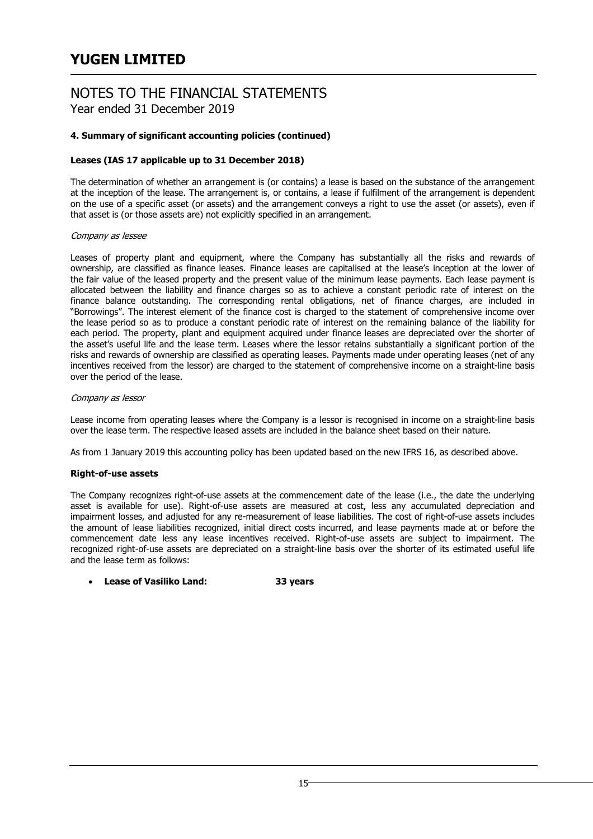## **4. Summary of significant accounting policies (continued)**

## **Leases (IAS 17 applicable up to 31 December 2018)**

The determination of whether an arrangement is (or contains) a lease is based on the substance of the arrangement at the inception of the lease. The arrangement is, or contains, a lease if fulfilment of the arrangement is dependent on the use of a specific asset (or assets) and the arrangement conveys a right to use the asset (or assets), even if that asset is (or those assets are) not explicitly specified in an arrangement.

#### Company as lessee

Leases of property plant and equipment, where the Company has substantially all the risks and rewards of ownership, are classified as finance leases. Finance leases are capitalised at the lease's inception at the lower of the fair value of the leased property and the present value of the minimum lease payments. Each lease payment is allocated between the liability and finance charges so as to achieve a constant periodic rate of interest on the finance balance outstanding. The corresponding rental obligations, net of finance charges, are included in "Borrowings". The interest element of the finance cost is charged to the statement of comprehensive income over the lease period so as to produce a constant periodic rate of interest on the remaining balance of the liability for each period. The property, plant and equipment acquired under finance leases are depreciated over the shorter of the asset's useful life and the lease term. Leases where the lessor retains substantially a significant portion of the risks and rewards of ownership are classified as operating leases. Payments made under operating leases (net of any incentives received from the lessor) are charged to the statement of comprehensive income on a straight-line basis over the period of the lease.

#### Company as lessor

Lease income from operating leases where the Company is a lessor is recognised in income on a straight-line basis over the lease term. The respective leased assets are included in the balance sheet based on their nature.

As from 1 January 2019 this accounting policy has been updated based on the new IFRS 16, as described above.

## **Right-of-use assets**

The Company recognizes right-of-use assets at the commencement date of the lease (i.e., the date the underlying asset is available for use). Right-of-use assets are measured at cost, less any accumulated depreciation and impairment losses, and adjusted for any re-measurement of lease liabilities. The cost of right-of-use assets includes the amount of lease liabilities recognized, initial direct costs incurred, and lease payments made at or before the commencement date less any lease incentives received. Right-of-use assets are subject to impairment. The recognized right-of-use assets are depreciated on a straight-line basis over the shorter of its estimated useful life and the lease term as follows:

## **Lease of Vasiliko Land: 33 years**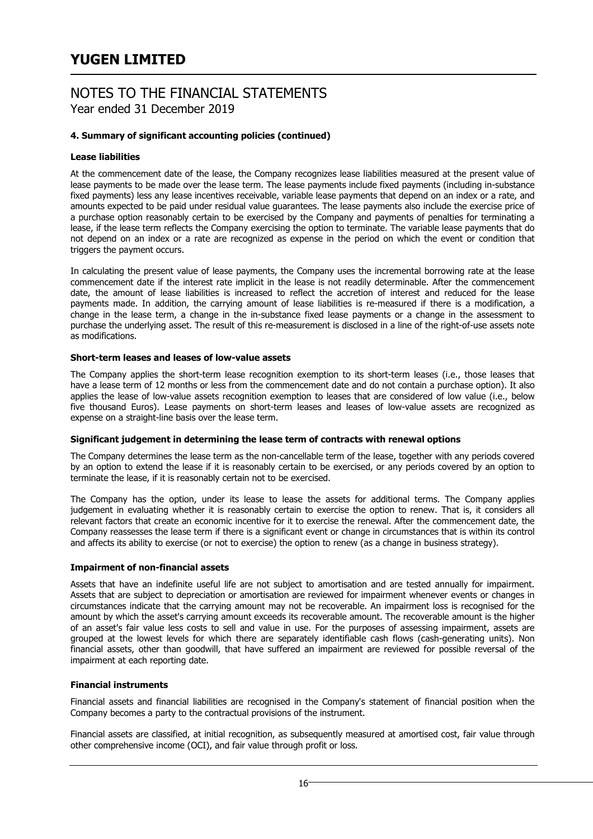## **4. Summary of significant accounting policies (continued)**

## **Lease liabilities**

At the commencement date of the lease, the Company recognizes lease liabilities measured at the present value of lease payments to be made over the lease term. The lease payments include fixed payments (including in-substance fixed payments) less any lease incentives receivable, variable lease payments that depend on an index or a rate, and amounts expected to be paid under residual value guarantees. The lease payments also include the exercise price of a purchase option reasonably certain to be exercised by the Company and payments of penalties for terminating a lease, if the lease term reflects the Company exercising the option to terminate. The variable lease payments that do not depend on an index or a rate are recognized as expense in the period on which the event or condition that triggers the payment occurs.

In calculating the present value of lease payments, the Company uses the incremental borrowing rate at the lease commencement date if the interest rate implicit in the lease is not readily determinable. After the commencement date, the amount of lease liabilities is increased to reflect the accretion of interest and reduced for the lease payments made. In addition, the carrying amount of lease liabilities is re-measured if there is a modification, a change in the lease term, a change in the in-substance fixed lease payments or a change in the assessment to purchase the underlying asset. The result of this re-measurement is disclosed in a line of the right-of-use assets note as modifications.

#### **Short-term leases and leases of low-value assets**

The Company applies the short-term lease recognition exemption to its short-term leases (i.e., those leases that have a lease term of 12 months or less from the commencement date and do not contain a purchase option). It also applies the lease of low-value assets recognition exemption to leases that are considered of low value (i.e., below five thousand Euros). Lease payments on short-term leases and leases of low-value assets are recognized as expense on a straight-line basis over the lease term.

## **Significant judgement in determining the lease term of contracts with renewal options**

The Company determines the lease term as the non-cancellable term of the lease, together with any periods covered by an option to extend the lease if it is reasonably certain to be exercised, or any periods covered by an option to terminate the lease, if it is reasonably certain not to be exercised.

The Company has the option, under its lease to lease the assets for additional terms. The Company applies judgement in evaluating whether it is reasonably certain to exercise the option to renew. That is, it considers all relevant factors that create an economic incentive for it to exercise the renewal. After the commencement date, the Company reassesses the lease term if there is a significant event or change in circumstances that is within its control and affects its ability to exercise (or not to exercise) the option to renew (as a change in business strategy).

## **Impairment of non-financial assets**

Assets that have an indefinite useful life are not subject to amortisation and are tested annually for impairment. Assets that are subject to depreciation or amortisation are reviewed for impairment whenever events or changes in circumstances indicate that the carrying amount may not be recoverable. An impairment loss is recognised for the amount by which the asset's carrying amount exceeds its recoverable amount. The recoverable amount is the higher of an asset's fair value less costs to sell and value in use. For the purposes of assessing impairment, assets are grouped at the lowest levels for which there are separately identifiable cash flows (cash-generating units). Non financial assets, other than goodwill, that have suffered an impairment are reviewed for possible reversal of the impairment at each reporting date.

## **Financial instruments**

Financial assets and financial liabilities are recognised in the Company's statement of financial position when the Company becomes a party to the contractual provisions of the instrument.

Financial assets are classified, at initial recognition, as subsequently measured at amortised cost, fair value through other comprehensive income (OCI), and fair value through profit or loss.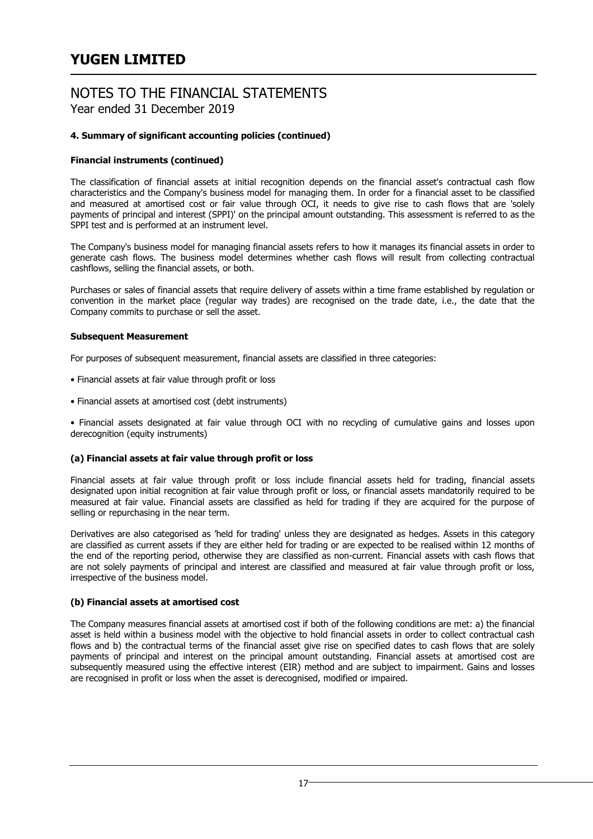## **4. Summary of significant accounting policies (continued)**

## **Financial instruments (continued)**

The classification of financial assets at initial recognition depends on the financial asset's contractual cash flow characteristics and the Company's business model for managing them. In order for a financial asset to be classified and measured at amortised cost or fair value through OCI, it needs to give rise to cash flows that are 'solely payments of principal and interest (SPPI)' on the principal amount outstanding. This assessment is referred to as the SPPI test and is performed at an instrument level.

The Company's business model for managing financial assets refers to how it manages its financial assets in order to generate cash flows. The business model determines whether cash flows will result from collecting contractual cashflows, selling the financial assets, or both.

Purchases or sales of financial assets that require delivery of assets within a time frame established by regulation or convention in the market place (regular way trades) are recognised on the trade date, i.e., the date that the Company commits to purchase or sell the asset.

## **Subsequent Measurement**

For purposes of subsequent measurement, financial assets are classified in three categories:

- Financial assets at fair value through profit or loss
- Financial assets at amortised cost (debt instruments)

• Financial assets designated at fair value through OCI with no recycling of cumulative gains and losses upon derecognition (equity instruments)

## **(a) Financial assets at fair value through profit or loss**

Financial assets at fair value through profit or loss include financial assets held for trading, financial assets designated upon initial recognition at fair value through profit or loss, or financial assets mandatorily required to be measured at fair value. Financial assets are classified as held for trading if they are acquired for the purpose of selling or repurchasing in the near term.

Derivatives are also categorised as 'held for trading' unless they are designated as hedges. Assets in this category are classified as current assets if they are either held for trading or are expected to be realised within 12 months of the end of the reporting period, otherwise they are classified as non-current. Financial assets with cash flows that are not solely payments of principal and interest are classified and measured at fair value through profit or loss, irrespective of the business model.

## **(b) Financial assets at amortised cost**

The Company measures financial assets at amortised cost if both of the following conditions are met: a) the financial asset is held within a business model with the objective to hold financial assets in order to collect contractual cash flows and b) the contractual terms of the financial asset give rise on specified dates to cash flows that are solely payments of principal and interest on the principal amount outstanding. Financial assets at amortised cost are subsequently measured using the effective interest (EIR) method and are subject to impairment. Gains and losses are recognised in profit or loss when the asset is derecognised, modified or impaired.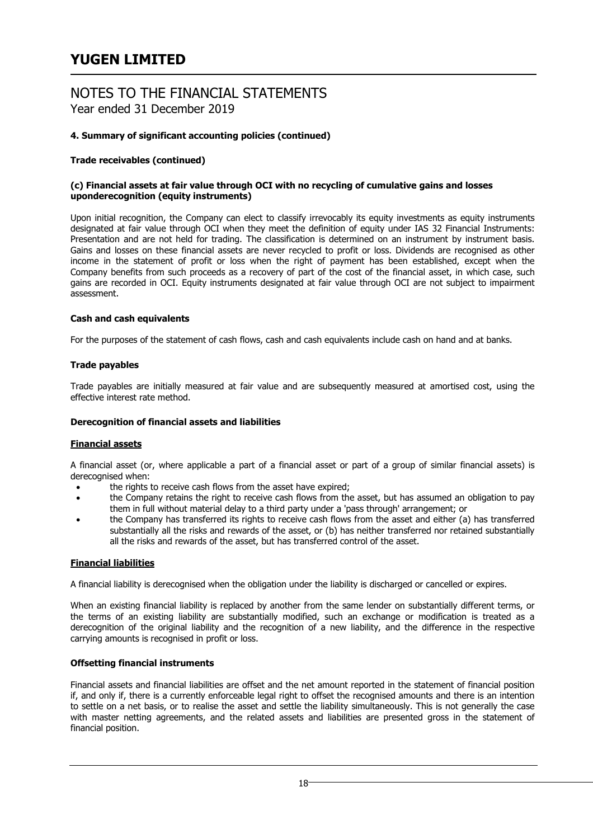## **4. Summary of significant accounting policies (continued)**

## **Trade receivables (continued)**

## **(c) Financial assets at fair value through OCI with no recycling of cumulative gains and losses uponderecognition (equity instruments)**

Upon initial recognition, the Company can elect to classify irrevocably its equity investments as equity instruments designated at fair value through OCI when they meet the definition of equity under IAS 32 Financial Instruments: Presentation and are not held for trading. The classification is determined on an instrument by instrument basis. Gains and losses on these financial assets are never recycled to profit or loss. Dividends are recognised as other income in the statement of profit or loss when the right of payment has been established, except when the Company benefits from such proceeds as a recovery of part of the cost of the financial asset, in which case, such gains are recorded in OCI. Equity instruments designated at fair value through OCI are not subject to impairment assessment.

## **Cash and cash equivalents**

For the purposes of the statement of cash flows, cash and cash equivalents include cash on hand and at banks.

## **Trade payables**

Trade payables are initially measured at fair value and are subsequently measured at amortised cost, using the effective interest rate method.

## **Derecognition of financial assets and liabilities**

## **Financial assets**

A financial asset (or, where applicable a part of a financial asset or part of a group of similar financial assets) is derecognised when:

- the rights to receive cash flows from the asset have expired;
- the Company retains the right to receive cash flows from the asset, but has assumed an obligation to pay them in full without material delay to a third party under a 'pass through' arrangement; or
- the Company has transferred its rights to receive cash flows from the asset and either (a) has transferred substantially all the risks and rewards of the asset, or (b) has neither transferred nor retained substantially all the risks and rewards of the asset, but has transferred control of the asset.

## **Financial liabilities**

A financial liability is derecognised when the obligation under the liability is discharged or cancelled or expires.

When an existing financial liability is replaced by another from the same lender on substantially different terms, or the terms of an existing liability are substantially modified, such an exchange or modification is treated as a derecognition of the original liability and the recognition of a new liability, and the difference in the respective carrying amounts is recognised in profit or loss.

## **Offsetting financial instruments**

Financial assets and financial liabilities are offset and the net amount reported in the statement of financial position if, and only if, there is a currently enforceable legal right to offset the recognised amounts and there is an intention to settle on a net basis, or to realise the asset and settle the liability simultaneously. This is not generally the case with master netting agreements, and the related assets and liabilities are presented gross in the statement of financial position.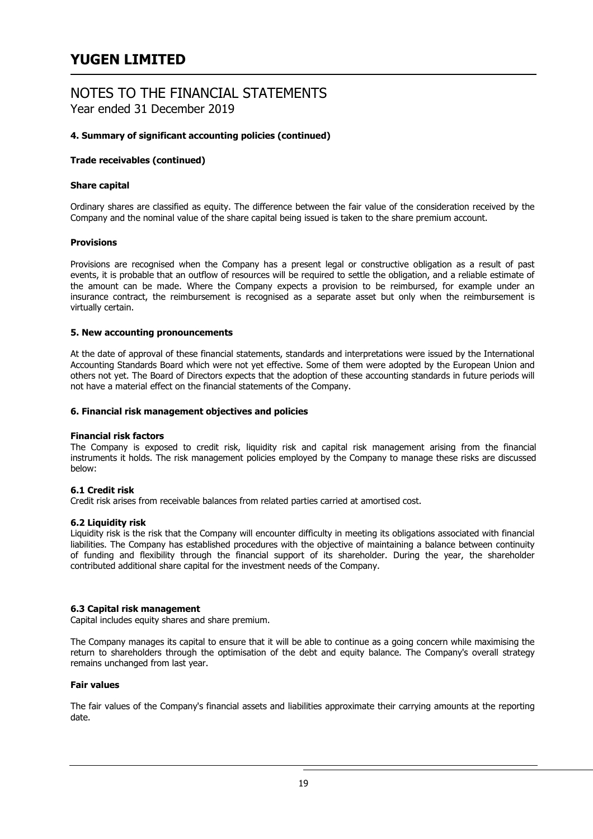## NOTES TO THE FINANCIAL STATEMENTS Year ended 31 December 2019

## **4. Summary of significant accounting policies (continued)**

## **Trade receivables (continued)**

### **Share capital**

Ordinary shares are classified as equity. The difference between the fair value of the consideration received by the Company and the nominal value of the share capital being issued is taken to the share premium account.

#### **Provisions**

Provisions are recognised when the Company has a present legal or constructive obligation as a result of past events, it is probable that an outflow of resources will be required to settle the obligation, and a reliable estimate of the amount can be made. Where the Company expects a provision to be reimbursed, for example under an insurance contract, the reimbursement is recognised as a separate asset but only when the reimbursement is virtually certain.

#### **5. New accounting pronouncements**

At the date of approval of these financial statements, standards and interpretations were issued by the International Accounting Standards Board which were not yet effective. Some of them were adopted by the European Union and others not yet. The Board of Directors expects that the adoption of these accounting standards in future periods will not have a material effect on the financial statements of the Company.

#### **6. Financial risk management objectives and policies**

#### **Financial risk factors**

The Company is exposed to credit risk, liquidity risk and capital risk management arising from the financial instruments it holds. The risk management policies employed by the Company to manage these risks are discussed below:

#### **6.1 Credit risk**

Credit risk arises from receivable balances from related parties carried at amortised cost.

#### **6.2 Liquidity risk**

Liquidity risk is the risk that the Company will encounter difficulty in meeting its obligations associated with financial liabilities. The Company has established procedures with the objective of maintaining a balance between continuity of funding and flexibility through the financial support of its shareholder. During the year, the shareholder contributed additional share capital for the investment needs of the Company.

## **6.3 Capital risk management**

Capital includes equity shares and share premium.

The Company manages its capital to ensure that it will be able to continue as a going concern while maximising the return to shareholders through the optimisation of the debt and equity balance. The Company's overall strategy remains unchanged from last year.

#### **Fair values**

The fair values of the Company's financial assets and liabilities approximate their carrying amounts at the reporting date.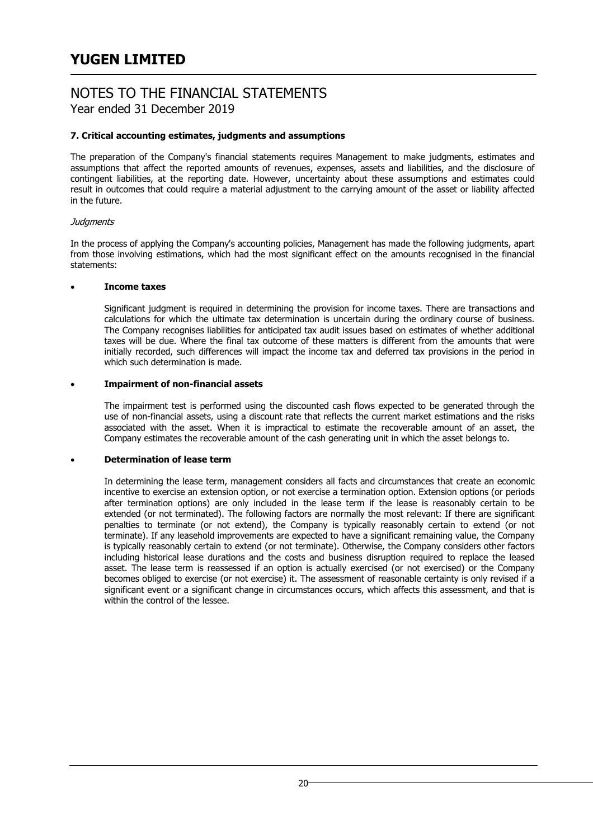## **7. Critical accounting estimates, judgments and assumptions**

The preparation of the Company's financial statements requires Management to make judgments, estimates and assumptions that affect the reported amounts of revenues, expenses, assets and liabilities, and the disclosure of contingent liabilities, at the reporting date. However, uncertainty about these assumptions and estimates could result in outcomes that could require a material adjustment to the carrying amount of the asset or liability affected in the future.

## **Judgments**

In the process of applying the Company's accounting policies, Management has made the following judgments, apart from those involving estimations, which had the most significant effect on the amounts recognised in the financial statements:

## **Income taxes**

Significant judgment is required in determining the provision for income taxes. There are transactions and calculations for which the ultimate tax determination is uncertain during the ordinary course of business. The Company recognises liabilities for anticipated tax audit issues based on estimates of whether additional taxes will be due. Where the final tax outcome of these matters is different from the amounts that were initially recorded, such differences will impact the income tax and deferred tax provisions in the period in which such determination is made.

## **Impairment of non-financial assets**

The impairment test is performed using the discounted cash flows expected to be generated through the use of non-financial assets, using a discount rate that reflects the current market estimations and the risks associated with the asset. When it is impractical to estimate the recoverable amount of an asset, the Company estimates the recoverable amount of the cash generating unit in which the asset belongs to.

## **Determination of lease term**

In determining the lease term, management considers all facts and circumstances that create an economic incentive to exercise an extension option, or not exercise a termination option. Extension options (or periods after termination options) are only included in the lease term if the lease is reasonably certain to be extended (or not terminated). The following factors are normally the most relevant: If there are significant penalties to terminate (or not extend), the Company is typically reasonably certain to extend (or not terminate). If any leasehold improvements are expected to have a significant remaining value, the Company is typically reasonably certain to extend (or not terminate). Otherwise, the Company considers other factors including historical lease durations and the costs and business disruption required to replace the leased asset. The lease term is reassessed if an option is actually exercised (or not exercised) or the Company becomes obliged to exercise (or not exercise) it. The assessment of reasonable certainty is only revised if a significant event or a significant change in circumstances occurs, which affects this assessment, and that is within the control of the lessee.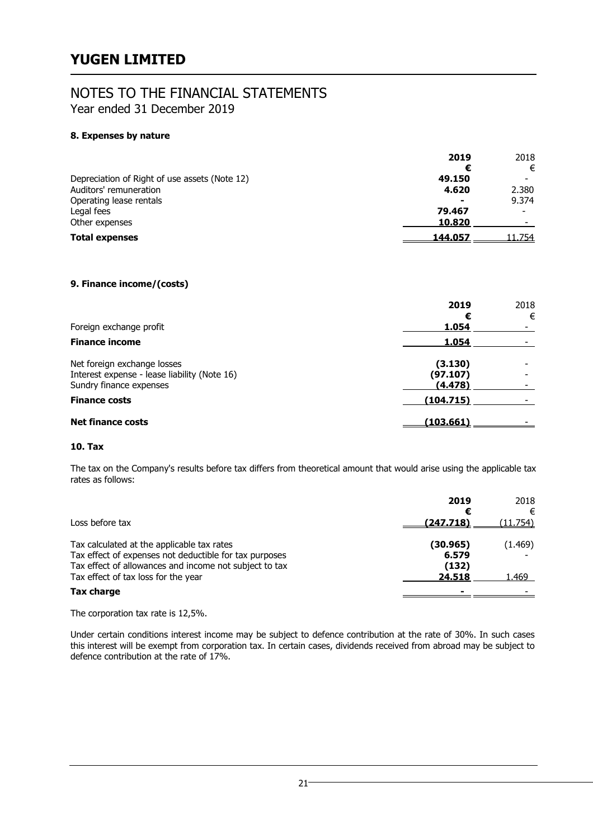## **8. Expenses by nature**

|                                               | 2019    | 2018   |
|-----------------------------------------------|---------|--------|
|                                               | €       | €      |
| Depreciation of Right of use assets (Note 12) | 49.150  |        |
| Auditors' remuneration                        | 4.620   | 2.380  |
| Operating lease rentals                       |         | 9.374  |
| Legal fees                                    | 79.467  |        |
| Other expenses                                | 10,820  |        |
| <b>Total expenses</b>                         | 144.057 | 11.754 |

## **9. Finance income/(costs)**

|                                              | 2019      | 2018 |
|----------------------------------------------|-----------|------|
|                                              | €         | €    |
| Foreign exchange profit                      | 1.054     |      |
| <b>Finance income</b>                        | 1.054     |      |
| Net foreign exchange losses                  | (3.130)   |      |
| Interest expense - lease liability (Note 16) | (97.107)  |      |
| Sundry finance expenses                      | (4.478)   |      |
| <b>Finance costs</b>                         | (104.715) |      |
| <b>Net finance costs</b>                     | (103.661) |      |

## **10. Tax**

The tax on the Company's results before tax differs from theoretical amount that would arise using the applicable tax rates as follows:

|                                                        | 2019      | 2018     |
|--------------------------------------------------------|-----------|----------|
|                                                        | €         | €        |
| Loss before tax                                        | (247.718) | (11.754) |
| Tax calculated at the applicable tax rates             | (30.965)  | (1.469)  |
| Tax effect of expenses not deductible for tax purposes | 6.579     |          |
| Tax effect of allowances and income not subject to tax | (132)     |          |
| Tax effect of tax loss for the year                    | 24.518    | 1.469    |
| <b>Tax charge</b>                                      |           |          |

The corporation tax rate is 12,5%.

Under certain conditions interest income may be subject to defence contribution at the rate of 30%. In such cases this interest will be exempt from corporation tax. In certain cases, dividends received from abroad may be subject to defence contribution at the rate of 17%.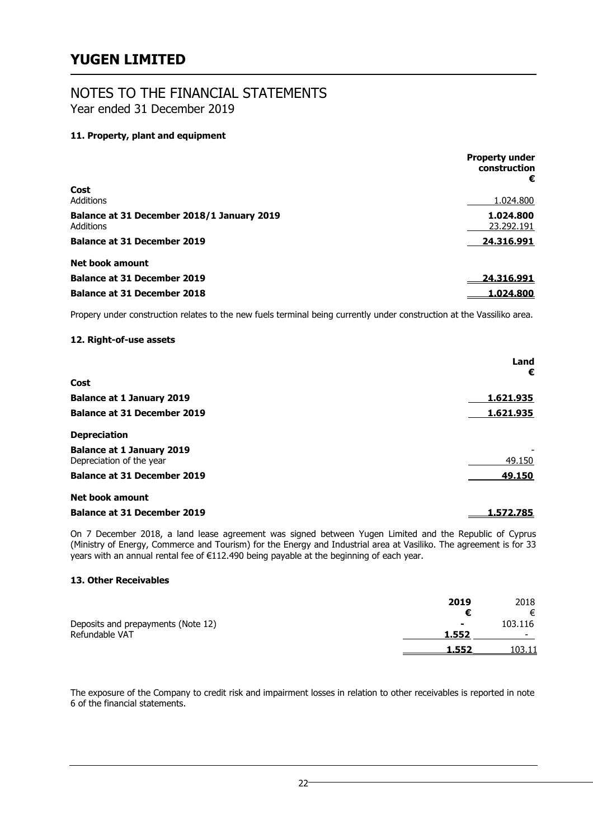## **11. Property, plant and equipment**

|                                                                | <b>Property under</b><br>construction |
|----------------------------------------------------------------|---------------------------------------|
| Cost                                                           | €                                     |
| <b>Additions</b>                                               | 1.024.800                             |
| Balance at 31 December 2018/1 January 2019<br><b>Additions</b> | 1.024.800<br>23.292.191               |
| <b>Balance at 31 December 2019</b>                             | 24.316.991                            |
| Net book amount                                                |                                       |
| <b>Balance at 31 December 2019</b>                             | 24.316.991                            |
| <b>Balance at 31 December 2018</b>                             | 1.024.800                             |

Propery under construction relates to the new fuels terminal being currently under construction at the Vassiliko area.

## **12. Right-of-use assets**

|                                                              | Land<br>€ |
|--------------------------------------------------------------|-----------|
| Cost                                                         |           |
| <b>Balance at 1 January 2019</b>                             | 1.621.935 |
| <b>Balance at 31 December 2019</b>                           | 1.621.935 |
| <b>Depreciation</b>                                          |           |
| <b>Balance at 1 January 2019</b><br>Depreciation of the year | 49.150    |
| <b>Balance at 31 December 2019</b>                           | 49.150    |
| Net book amount                                              |           |
| <b>Balance at 31 December 2019</b>                           | 1,572,785 |

On 7 December 2018, a land lease agreement was signed between Yugen Limited and the Republic of Cyprus (Ministry of Energy, Commerce and Tourism) for the Energy and Industrial area at Vasiliko. The agreement is for 33 years with an annual rental fee of €112.490 being payable at the beginning of each year.

## **13. Other Receivables**

|                                    | 2019  | 2018                     |
|------------------------------------|-------|--------------------------|
|                                    |       |                          |
| Deposits and prepayments (Note 12) | ٠     | 103.116                  |
| Refundable VAT                     | 1.552 | $\overline{\phantom{0}}$ |
|                                    | 1.552 | 103.11                   |

The exposure of the Company to credit risk and impairment losses in relation to other receivables is reported in note 6 of the financial statements.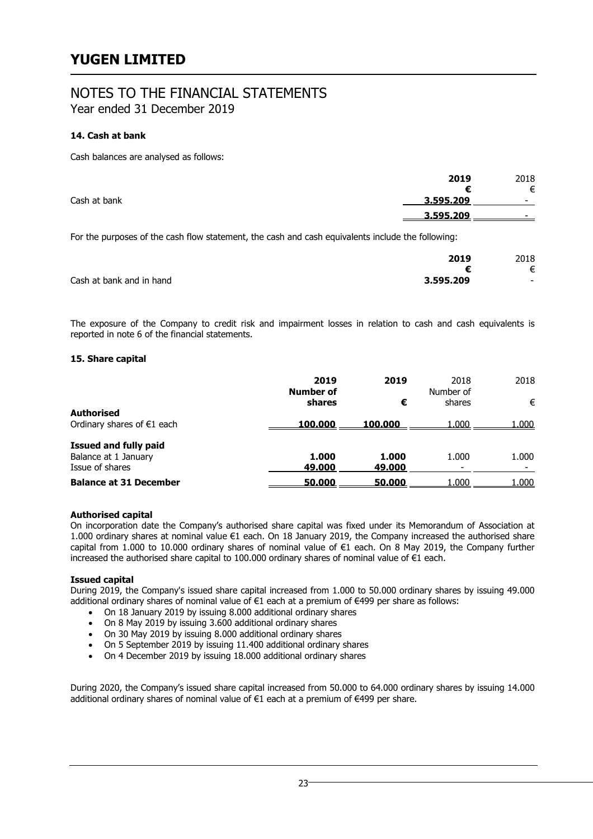## **14. Cash at bank**

Cash balances are analysed as follows:

|              | 2019      | 2018 |
|--------------|-----------|------|
|              |           | €    |
| Cash at bank | 3.595.209 | -    |
|              | 3.595.209 | -    |

For the purposes of the cash flow statement, the cash and cash equivalents include the following:

|                          | 2019      | 2018   |
|--------------------------|-----------|--------|
|                          |           | €      |
| Cash at bank and in hand | 3.595.209 | $\sim$ |

The exposure of the Company to credit risk and impairment losses in relation to cash and cash equivalents is reported in note 6 of the financial statements.

### **15. Share capital**

| <b>Authorised</b>                                                       | 2019<br><b>Number of</b><br>shares | 2019<br>€       | 2018<br>Number of<br>shares | 2018<br>€      |
|-------------------------------------------------------------------------|------------------------------------|-----------------|-----------------------------|----------------|
| Ordinary shares of €1 each                                              | 100,000                            | 100.000         | 1.000                       | <u> 1.000 </u> |
| <b>Issued and fully paid</b><br>Balance at 1 January<br>Issue of shares | 1.000<br>49,000                    | 1.000<br>49,000 | 1.000                       | 1.000          |
| <b>Balance at 31 December</b>                                           | 50,000                             | 50,000          | 1.000                       | 1.000          |

## **Authorised capital**

On incorporation date the Company's authorised share capital was fixed under its Memorandum of Association at 1.000 ordinary shares at nominal value €1 each. On 18 January 2019, the Company increased the authorised share capital from 1.000 to 10.000 ordinary shares of nominal value of €1 each. On 8 May 2019, the Company further increased the authorised share capital to 100.000 ordinary shares of nominal value of  $\epsilon$ 1 each.

## **Issued capital**

During 2019, the Company's issued share capital increased from 1.000 to 50.000 ordinary shares by issuing 49.000 additional ordinary shares of nominal value of €1 each at a premium of €499 per share as follows:

- On 18 January 2019 by issuing 8.000 additional ordinary shares
- On 8 May 2019 by issuing 3.600 additional ordinary shares
- On 30 May 2019 by issuing 8.000 additional ordinary shares
- On 5 September 2019 by issuing 11.400 additional ordinary shares
- On 4 December 2019 by issuing 18.000 additional ordinary shares

During 2020, the Company's issued share capital increased from 50.000 to 64.000 ordinary shares by issuing 14.000 additional ordinary shares of nominal value of €1 each at a premium of €499 per share.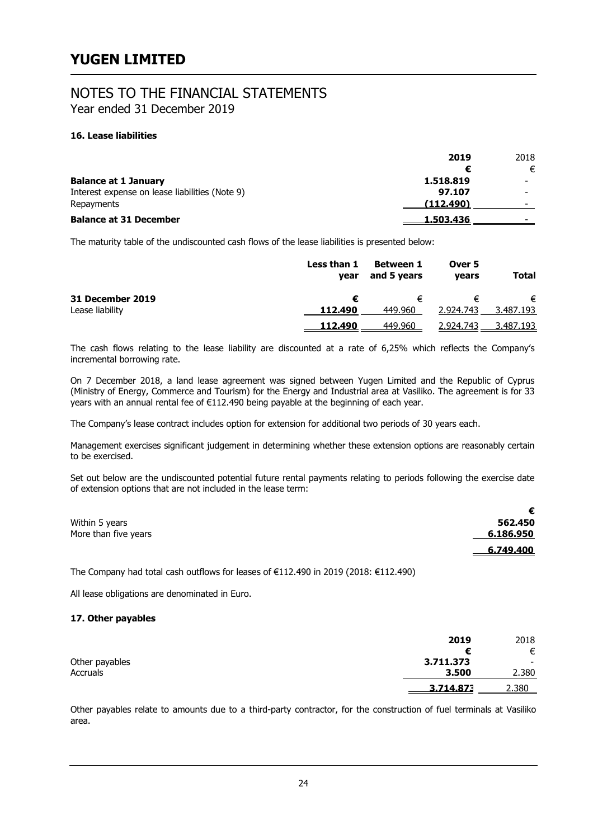## **16. Lease liabilities**

|                                                | 2019      | 2018 |
|------------------------------------------------|-----------|------|
|                                                |           | €    |
| <b>Balance at 1 January</b>                    | 1.518.819 |      |
| Interest expense on lease liabilities (Note 9) | 97.107    |      |
| Repayments                                     | (112.490) |      |
| <b>Balance at 31 December</b>                  | 1.503.436 |      |

The maturity table of the undiscounted cash flows of the lease liabilities is presented below:

|                  | Less than 1<br>year | <b>Between 1</b><br>and 5 years | Over 5<br>vears | <b>Total</b> |
|------------------|---------------------|---------------------------------|-----------------|--------------|
| 31 December 2019 | €                   | €                               | €               | €            |
| Lease liability  | 112.490             | 449.960                         | 2.924.743       | 3.487.193    |
|                  | 112.490             | 449.960                         | 2.924.743       | 3.487.193    |

The cash flows relating to the lease liability are discounted at a rate of 6,25% which reflects the Company's incremental borrowing rate.

On 7 December 2018, a land lease agreement was signed between Yugen Limited and the Republic of Cyprus (Ministry of Energy, Commerce and Tourism) for the Energy and Industrial area at Vasiliko. The agreement is for 33 years with an annual rental fee of €112.490 being payable at the beginning of each year.

The Company's lease contract includes option for extension for additional two periods of 30 years each.

Management exercises significant judgement in determining whether these extension options are reasonably certain to be exercised.

Set out below are the undiscounted potential future rental payments relating to periods following the exercise date of extension options that are not included in the lease term:

|                      | €         |
|----------------------|-----------|
| Within 5 years       | 562.450   |
| More than five years | 6.186.950 |
|                      | 6.749.400 |

The Company had total cash outflows for leases of €112.490 in 2019 (2018: €112.490)

All lease obligations are denominated in Euro.

## **17. Other payables**

|                 | 2019      | 2018                     |
|-----------------|-----------|--------------------------|
|                 |           | €                        |
| Other payables  | 3.711.373 | $\overline{\phantom{0}}$ |
| <b>Accruals</b> | 3.500     | 2.380                    |
|                 | 3.714.873 | 2.380                    |

Other payables relate to amounts due to a third-party contractor, for the construction of fuel terminals at Vasiliko area.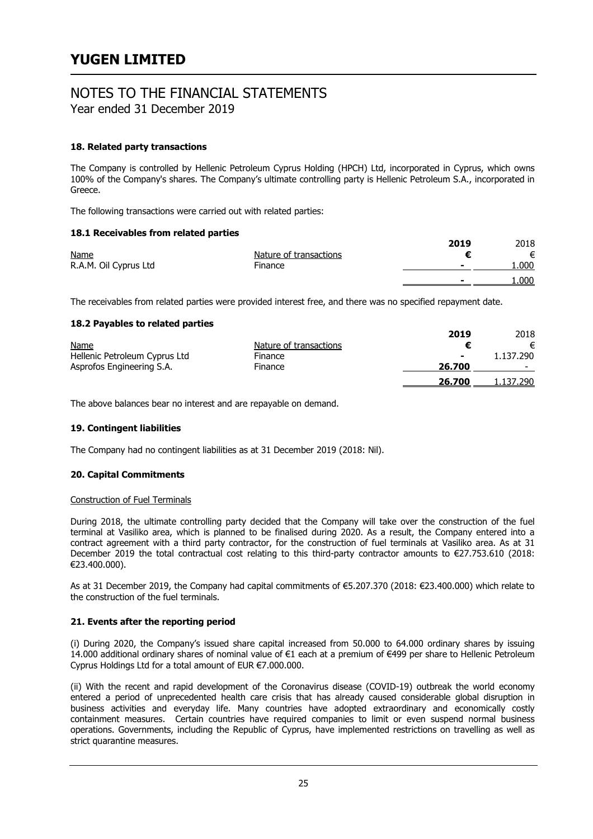## **18. Related party transactions**

The Company is controlled by Hellenic Petroleum Cyprus Holding (HPCH) Ltd, incorporated in Cyprus, which owns 100% of the Company's shares. The Company's ultimate controlling party is Hellenic Petroleum S.A., incorporated in Greece.

The following transactions were carried out with related parties:

## **18.1 Receivables from related parties**

|                       |                        | 2019                     | 2018  |
|-----------------------|------------------------|--------------------------|-------|
| <b>Name</b>           | Nature of transactions |                          |       |
| R.A.M. Oil Cyprus Ltd | Finance                | $\overline{\phantom{0}}$ | 000.۱ |
|                       |                        |                          | .000  |

The receivables from related parties were provided interest free, and there was no specified repayment date.

## **18.2 Payables to related parties**

|                               |                        | 2019           | 2018      |
|-------------------------------|------------------------|----------------|-----------|
| <b>Name</b>                   | Nature of transactions |                | €         |
| Hellenic Petroleum Cyprus Ltd | Finance                | $\blacksquare$ | 1.137.290 |
| Asprofos Engineering S.A.     | Finance                | 26.700         | -         |
|                               |                        | 26.700         | 1.137.290 |

The above balances bear no interest and are repayable on demand.

## **19. Contingent liabilities**

The Company had no contingent liabilities as at 31 December 2019 (2018: Nil).

## **20. Capital Commitments**

## Construction of Fuel Terminals

During 2018, the ultimate controlling party decided that the Company will take over the construction of the fuel terminal at Vasiliko area, which is planned to be finalised during 2020. As a result, the Company entered into a contract agreement with a third party contractor, for the construction of fuel terminals at Vasiliko area. As at 31 December 2019 the total contractual cost relating to this third-party contractor amounts to €27.753.610 (2018: €23.400.000).

As at 31 December 2019, the Company had capital commitments of €5.207.370 (2018: €23.400.000) which relate to the construction of the fuel terminals.

## **21. Events after the reporting period**

(i) During 2020, the Company's issued share capital increased from 50.000 to 64.000 ordinary shares by issuing 14.000 additional ordinary shares of nominal value of €1 each at a premium of €499 per share to Hellenic Petroleum Cyprus Holdings Ltd for a total amount of EUR €7.000.000.

(ii) With the recent and rapid development of the Coronavirus disease (COVID-19) outbreak the world economy entered a period of unprecedented health care crisis that has already caused considerable global disruption in business activities and everyday life. Many countries have adopted extraordinary and economically costly containment measures. Certain countries have required companies to limit or even suspend normal business operations. Governments, including the Republic of Cyprus, have implemented restrictions on travelling as well as strict quarantine measures.